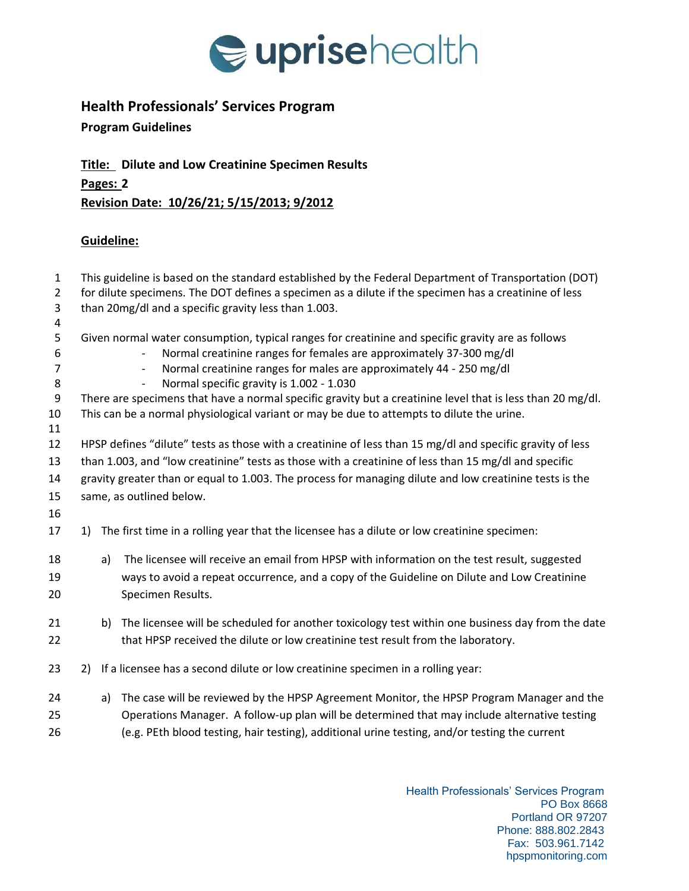

## **Health Professionals' Services Program**

## **Program Guidelines**

**Title: Dilute and Low Creatinine Specimen Results Pages: 2 Revision Date: 10/26/21; 5/15/2013; 9/2012**

## **Guideline:**

| $\mathbf{1}$<br>$\overline{2}$ | This guideline is based on the standard established by the Federal Department of Transportation (DOT)<br>for dilute specimens. The DOT defines a specimen as a dilute if the specimen has a creatinine of less |                                                                                                                                                                                                                                                                                             |  |  |  |
|--------------------------------|----------------------------------------------------------------------------------------------------------------------------------------------------------------------------------------------------------------|---------------------------------------------------------------------------------------------------------------------------------------------------------------------------------------------------------------------------------------------------------------------------------------------|--|--|--|
| 3<br>4                         | than 20mg/dl and a specific gravity less than 1.003.                                                                                                                                                           |                                                                                                                                                                                                                                                                                             |  |  |  |
| 5<br>6<br>$\overline{7}$<br>8  |                                                                                                                                                                                                                | Given normal water consumption, typical ranges for creatinine and specific gravity are as follows<br>Normal creatinine ranges for females are approximately 37-300 mg/dl<br>Normal creatinine ranges for males are approximately 44 - 250 mg/dl<br>Normal specific gravity is 1.002 - 1.030 |  |  |  |
| 9<br>10<br>11                  | There are specimens that have a normal specific gravity but a creatinine level that is less than 20 mg/dl.<br>This can be a normal physiological variant or may be due to attempts to dilute the urine.        |                                                                                                                                                                                                                                                                                             |  |  |  |
| 12                             | HPSP defines "dilute" tests as those with a creatinine of less than 15 mg/dl and specific gravity of less                                                                                                      |                                                                                                                                                                                                                                                                                             |  |  |  |
| 13                             | than 1.003, and "low creatinine" tests as those with a creatinine of less than 15 mg/dl and specific                                                                                                           |                                                                                                                                                                                                                                                                                             |  |  |  |
| 14                             | gravity greater than or equal to 1.003. The process for managing dilute and low creatinine tests is the                                                                                                        |                                                                                                                                                                                                                                                                                             |  |  |  |
| 15                             | same, as outlined below.                                                                                                                                                                                       |                                                                                                                                                                                                                                                                                             |  |  |  |
| 16                             |                                                                                                                                                                                                                |                                                                                                                                                                                                                                                                                             |  |  |  |
| 17                             | 1)                                                                                                                                                                                                             | The first time in a rolling year that the licensee has a dilute or low creatinine specimen:                                                                                                                                                                                                 |  |  |  |
| 18                             | a)                                                                                                                                                                                                             | The licensee will receive an email from HPSP with information on the test result, suggested                                                                                                                                                                                                 |  |  |  |
| 19                             |                                                                                                                                                                                                                | ways to avoid a repeat occurrence, and a copy of the Guideline on Dilute and Low Creatinine                                                                                                                                                                                                 |  |  |  |
| 20                             |                                                                                                                                                                                                                | Specimen Results.                                                                                                                                                                                                                                                                           |  |  |  |
| 21                             | b)                                                                                                                                                                                                             | The licensee will be scheduled for another toxicology test within one business day from the date                                                                                                                                                                                            |  |  |  |
| 22                             |                                                                                                                                                                                                                | that HPSP received the dilute or low creatinine test result from the laboratory.                                                                                                                                                                                                            |  |  |  |
| 23                             | 2)                                                                                                                                                                                                             | If a licensee has a second dilute or low creatinine specimen in a rolling year:                                                                                                                                                                                                             |  |  |  |
| 24                             | a)                                                                                                                                                                                                             | The case will be reviewed by the HPSP Agreement Monitor, the HPSP Program Manager and the                                                                                                                                                                                                   |  |  |  |
| 25                             |                                                                                                                                                                                                                | Operations Manager. A follow-up plan will be determined that may include alternative testing                                                                                                                                                                                                |  |  |  |
| 26                             |                                                                                                                                                                                                                | (e.g. PEth blood testing, hair testing), additional urine testing, and/or testing the current                                                                                                                                                                                               |  |  |  |

Health Professionals' Services Program PO Box 8668 Portland OR 97207 Phone: 888.802.2843 Fax: 503.961.7142 hpspmonitoring.com